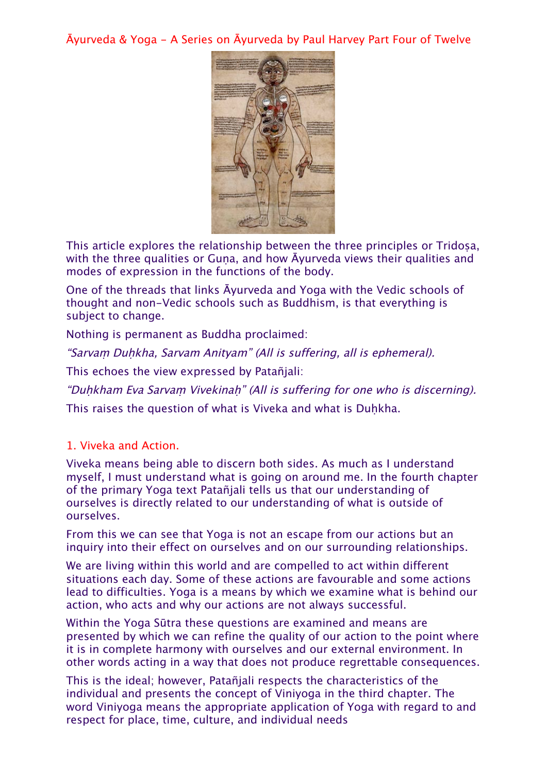Āyurveda & Yoga - A Series on Āyurveda by Paul Harvey Part Four of Twelve



This article explores the relationship between the three principles or Tridosa, with the three qualities or Guna, and how Ayurveda views their qualities and modes of expression in the functions of the body.

One of the threads that links Āyurveda and Yoga with the Vedic schools of thought and non-Vedic schools such as Buddhism, is that everything is subject to change.

Nothing is permanent as Buddha proclaimed:

"Sarvaṃ Duḥkha, Sarvam Anityam" (All is suffering, all is ephemeral).

This echoes the view expressed by Patañjali:

"Duḥkham Eva Sarvaṃ Vivekinaḥ" (All is suffering for one who is discerning).

This raises the question of what is Viveka and what is Duhkha.

### 1. Viveka and Action.

Viveka means being able to discern both sides. As much as I understand myself, I must understand what is going on around me. In the fourth chapter of the primary Yoga text Patañjali tells us that our understanding of ourselves is directly related to our understanding of what is outside of ourselves.

From this we can see that Yoga is not an escape from our actions but an inquiry into their effect on ourselves and on our surrounding relationships.

We are living within this world and are compelled to act within different situations each day. Some of these actions are favourable and some actions lead to difficulties. Yoga is a means by which we examine what is behind our action, who acts and why our actions are not always successful.

Within the Yoga Sūtra these questions are examined and means are presented by which we can refine the quality of our action to the point where it is in complete harmony with ourselves and our external environment. In other words acting in a way that does not produce regrettable consequences.

This is the ideal; however, Patañjali respects the characteristics of the individual and presents the concept of Viniyoga in the third chapter. The word Viniyoga means the appropriate application of Yoga with regard to and respect for place, time, culture, and individual needs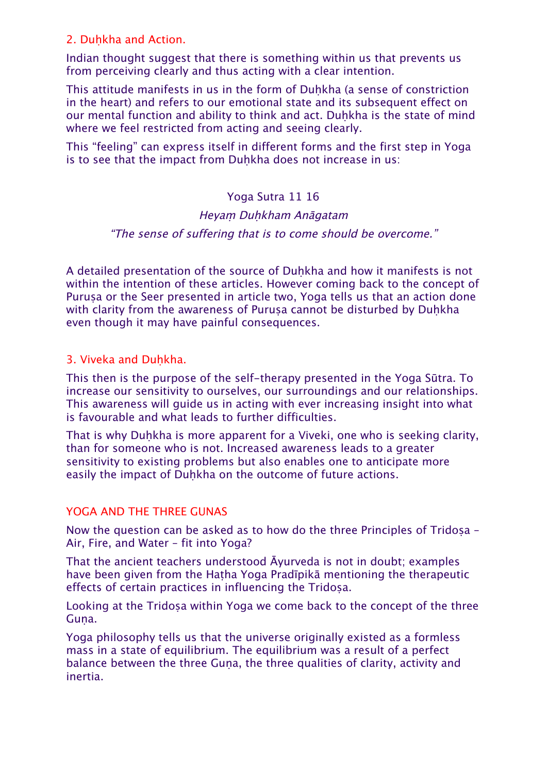### 2. Duhkha and Action.

Indian thought suggest that there is something within us that prevents us from perceiving clearly and thus acting with a clear intention.

This attitude manifests in us in the form of Duhkha (a sense of constriction in the heart) and refers to our emotional state and its subsequent effect on our mental function and ability to think and act. Duhkha is the state of mind where we feel restricted from acting and seeing clearly.

This "feeling" can express itself in different forms and the first step in Yoga is to see that the impact from Duhkha does not increase in us:

### Yoga Sutra 11 16

#### Heyam Duhkham Anāgatam

#### "The sense of suffering that is to come should be overcome."

A detailed presentation of the source of Duhkha and how it manifests is not within the intention of these articles. However coming back to the concept of Purusa or the Seer presented in article two, Yoga tells us that an action done with clarity from the awareness of Purusa cannot be disturbed by Duhkha even though it may have painful consequences.

#### 3. Viveka and Duhkha.

This then is the purpose of the self-therapy presented in the Yoga Sūtra. To increase our sensitivity to ourselves, our surroundings and our relationships. This awareness will guide us in acting with ever increasing insight into what is favourable and what leads to further difficulties.

That is why Duhkha is more apparent for a Viveki, one who is seeking clarity, than for someone who is not. Increased awareness leads to a greater sensitivity to existing problems but also enables one to anticipate more easily the impact of Duḥkha on the outcome of future actions.

#### YOGA AND THE THREE GUNAS

Now the question can be asked as to how do the three Principles of Tridosa – Air, Fire, and Water – fit into Yoga?

That the ancient teachers understood Āyurveda is not in doubt; examples have been given from the Hatha Yoga Pradīpikā mentioning the therapeutic effects of certain practices in influencing the Tridosa.

Looking at the Tridosa within Yoga we come back to the concept of the three Guna.

Yoga philosophy tells us that the universe originally existed as a formless mass in a state of equilibrium. The equilibrium was a result of a perfect balance between the three Guna, the three qualities of clarity, activity and inertia.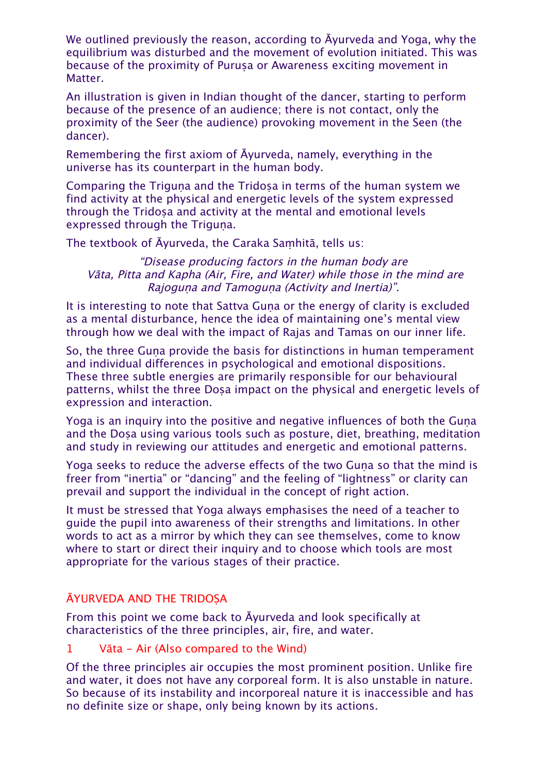We outlined previously the reason, according to Āyurveda and Yoga, why the equilibrium was disturbed and the movement of evolution initiated. This was because of the proximity of Purusa or Awareness exciting movement in Matter.

An illustration is given in Indian thought of the dancer, starting to perform because of the presence of an audience; there is not contact, only the proximity of the Seer (the audience) provoking movement in the Seen (the dancer).

Remembering the first axiom of Āyurveda, namely, everything in the universe has its counterpart in the human body.

Comparing the Triguna and the Tridosa in terms of the human system we find activity at the physical and energetic levels of the system expressed through the Tridosa and activity at the mental and emotional levels expressed through the Triguna.

The textbook of Āyurveda, the Caraka Saṃhitā, tells us:

#### "Disease producing factors in the human body are Vāta, Pitta and Kapha (Air, Fire, and Water) while those in the mind are Rajoguna and Tamoguna (Activity and Inertia)".

It is interesting to note that Sattva Guna or the energy of clarity is excluded as a mental disturbance, hence the idea of maintaining one's mental view through how we deal with the impact of Rajas and Tamas on our inner life.

So, the three Guna provide the basis for distinctions in human temperament and individual differences in psychological and emotional dispositions. These three subtle energies are primarily responsible for our behavioural patterns, whilst the three Dosa impact on the physical and energetic levels of expression and interaction.

Yoga is an inquiry into the positive and negative influences of both the Guṇa and the Dosa using various tools such as posture, diet, breathing, meditation and study in reviewing our attitudes and energetic and emotional patterns.

Yoga seeks to reduce the adverse effects of the two Guna so that the mind is freer from "inertia" or "dancing" and the feeling of "lightness" or clarity can prevail and support the individual in the concept of right action.

It must be stressed that Yoga always emphasises the need of a teacher to guide the pupil into awareness of their strengths and limitations. In other words to act as a mirror by which they can see themselves, come to know where to start or direct their inquiry and to choose which tools are most appropriate for the various stages of their practice.

# ĀYURVEDA AND THE TRIDOṢA

From this point we come back to Āyurveda and look specifically at characteristics of the three principles, air, fire, and water.

1 Vāta - Air (Also compared to the Wind)

Of the three principles air occupies the most prominent position. Unlike fire and water, it does not have any corporeal form. It is also unstable in nature. So because of its instability and incorporeal nature it is inaccessible and has no definite size or shape, only being known by its actions.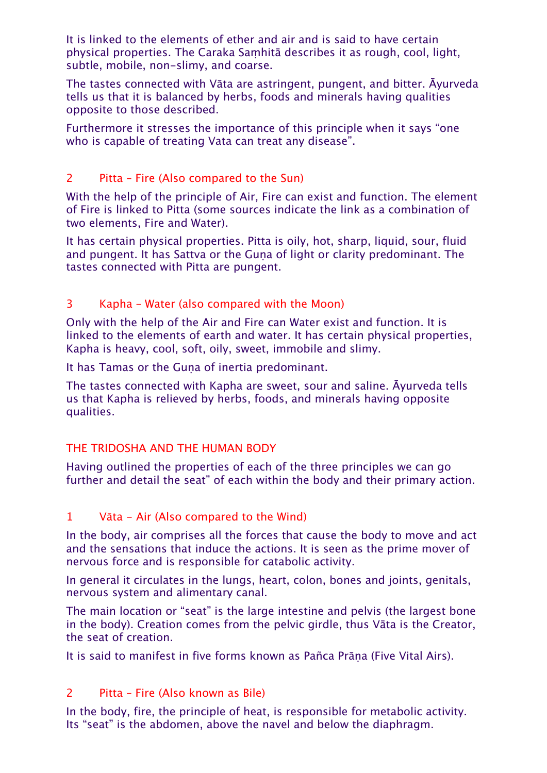It is linked to the elements of ether and air and is said to have certain physical properties. The Caraka Saṃhitā describes it as rough, cool, light, subtle, mobile, non-slimy, and coarse.

The tastes connected with Vāta are astringent, pungent, and bitter. Āyurveda tells us that it is balanced by herbs, foods and minerals having qualities opposite to those described.

Furthermore it stresses the importance of this principle when it says "one who is capable of treating Vata can treat any disease".

# 2 Pitta – Fire (Also compared to the Sun)

With the help of the principle of Air, Fire can exist and function. The element of Fire is linked to Pitta (some sources indicate the link as a combination of two elements, Fire and Water).

It has certain physical properties. Pitta is oily, hot, sharp, liquid, sour, fluid and pungent. It has Sattva or the Guna of light or clarity predominant. The tastes connected with Pitta are pungent.

# 3 Kapha – Water (also compared with the Moon)

Only with the help of the Air and Fire can Water exist and function. It is linked to the elements of earth and water. It has certain physical properties, Kapha is heavy, cool, soft, oily, sweet, immobile and slimy.

It has Tamas or the Guna of inertia predominant.

The tastes connected with Kapha are sweet, sour and saline. Āyurveda tells us that Kapha is relieved by herbs, foods, and minerals having opposite qualities.

# THE TRIDOSHA AND THE HUMAN BODY

Having outlined the properties of each of the three principles we can go further and detail the seat" of each within the body and their primary action.

# 1 Vāta - Air (Also compared to the Wind)

In the body, air comprises all the forces that cause the body to move and act and the sensations that induce the actions. It is seen as the prime mover of nervous force and is responsible for catabolic activity.

In general it circulates in the lungs, heart, colon, bones and joints, genitals, nervous system and alimentary canal.

The main location or "seat" is the large intestine and pelvis (the largest bone in the body). Creation comes from the pelvic girdle, thus Vāta is the Creator, the seat of creation.

It is said to manifest in five forms known as Pañca Prāṇa (Five Vital Airs).

# 2 Pitta – Fire (Also known as Bile)

In the body, fire, the principle of heat, is responsible for metabolic activity. Its "seat" is the abdomen, above the navel and below the diaphragm.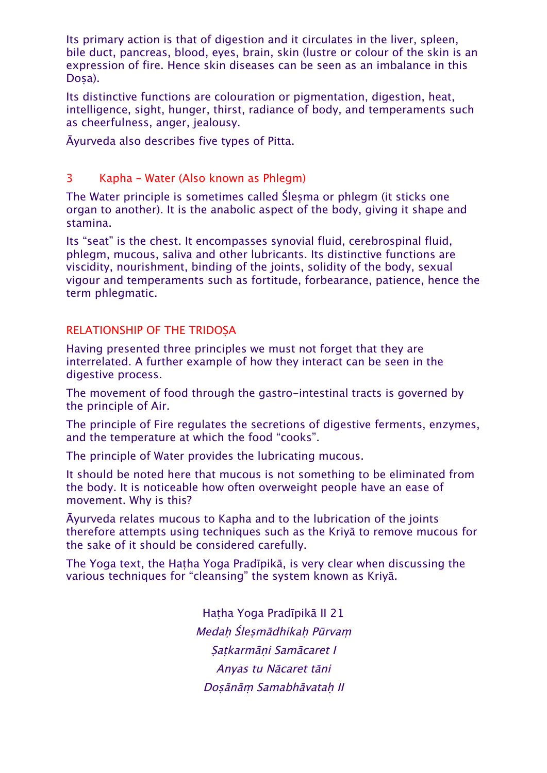Its primary action is that of digestion and it circulates in the liver, spleen, bile duct, pancreas, blood, eyes, brain, skin (lustre or colour of the skin is an expression of fire. Hence skin diseases can be seen as an imbalance in this Dosa).

Its distinctive functions are colouration or pigmentation, digestion, heat, intelligence, sight, hunger, thirst, radiance of body, and temperaments such as cheerfulness, anger, jealousy.

Āyurveda also describes five types of Pitta.

### 3 Kapha – Water (Also known as Phlegm)

The Water principle is sometimes called Ślesma or phlegm (it sticks one organ to another). It is the anabolic aspect of the body, giving it shape and stamina.

Its "seat" is the chest. It encompasses synovial fluid, cerebrospinal fluid, phlegm, mucous, saliva and other lubricants. Its distinctive functions are viscidity, nourishment, binding of the joints, solidity of the body, sexual vigour and temperaments such as fortitude, forbearance, patience, hence the term phlegmatic.

### RELATIONSHIP OF THE TRIDOṢA

Having presented three principles we must not forget that they are interrelated. A further example of how they interact can be seen in the digestive process.

The movement of food through the gastro-intestinal tracts is governed by the principle of Air.

The principle of Fire regulates the secretions of digestive ferments, enzymes, and the temperature at which the food "cooks".

The principle of Water provides the lubricating mucous.

It should be noted here that mucous is not something to be eliminated from the body. It is noticeable how often overweight people have an ease of movement. Why is this?

Āyurveda relates mucous to Kapha and to the lubrication of the joints therefore attempts using techniques such as the Kriyā to remove mucous for the sake of it should be considered carefully.

The Yoga text, the Haṭha Yoga Pradīpikā, is very clear when discussing the various techniques for "cleansing" the system known as Kriyā.

> Haṭha Yoga Pradīpikā II 21 Medaḥ Śleṣmādhikaḥ Pūrva<sup>ṃ</sup> Satkarmāni Samācaret I Anyas tu Nācaret tāni Doṣānāṃ Samabhāvataḥ II